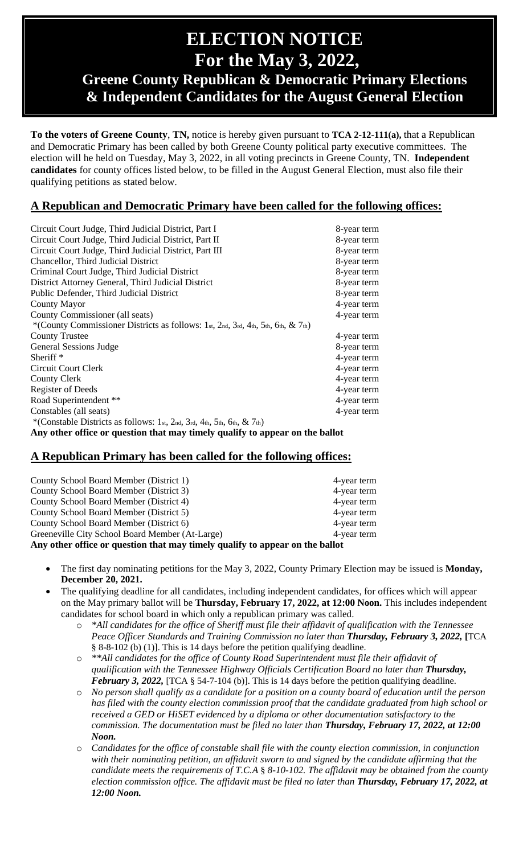# **ELECTION NOTICE For the May 3, 2022,**

# **Greene County Republican & Democratic Primary Elections & Independent Candidates for the August General Election**

**To the voters of Greene County**, **TN,** notice is hereby given pursuant to **TCA 2-12-111(a),** that a Republican and Democratic Primary has been called by both Greene County political party executive committees. The election will he held on Tuesday, May 3, 2022, in all voting precincts in Greene County, TN. **Independent candidates** for county offices listed below, to be filled in the August General Election, must also file their qualifying petitions as stated below.

## **A Republican and Democratic Primary have been called for the following offices:**

| Circuit Court Judge, Third Judicial District, Part I                             | 8-year term |
|----------------------------------------------------------------------------------|-------------|
| Circuit Court Judge, Third Judicial District, Part II                            | 8-year term |
| Circuit Court Judge, Third Judicial District, Part III                           | 8-year term |
| Chancellor, Third Judicial District                                              | 8-year term |
| Criminal Court Judge, Third Judicial District                                    | 8-year term |
| District Attorney General, Third Judicial District                               | 8-year term |
| Public Defender, Third Judicial District                                         | 8-year term |
| County Mayor                                                                     | 4-year term |
| County Commissioner (all seats)                                                  | 4-year term |
| *(County Commissioner Districts as follows: 1st, 2nd, 3rd, 4th, 5th, 6th, & 7th) |             |
| <b>County Trustee</b>                                                            | 4-year term |
| General Sessions Judge                                                           | 8-year term |
| Sheriff $*$                                                                      | 4-year term |
| <b>Circuit Court Clerk</b>                                                       | 4-year term |
| County Clerk                                                                     | 4-year term |
| Register of Deeds                                                                | 4-year term |
| Road Superintendent **                                                           | 4-year term |
| Constables (all seats)                                                           | 4-year term |
| *(Constable Districts as follows: 1st, 2nd, 3rd, 4th, 5th, 6th, & 7th)           |             |
| Any other office or question that may timely qualify to appear on the ballot     |             |

## **A Republican Primary has been called for the following offices:**

| County School Board Member (District 1)                                      | 4-year term |  |
|------------------------------------------------------------------------------|-------------|--|
| County School Board Member (District 3)                                      | 4-year term |  |
| County School Board Member (District 4)                                      | 4-year term |  |
| County School Board Member (District 5)                                      | 4-year term |  |
| County School Board Member (District 6)                                      | 4-year term |  |
| Greeneville City School Board Member (At-Large)                              | 4-year term |  |
| Any other office or question that may timely qualify to appear on the ballot |             |  |

- The first day nominating petitions for the May 3, 2022, County Primary Election may be issued is **Monday, December 20, 2021.**
- The qualifying deadline for all candidates, including independent candidates, for offices which will appear on the May primary ballot will be **Thursday, February 17, 2022, at 12:00 Noon.** This includes independent candidates for school board in which only a republican primary was called.
	- o *\*All candidates for the office of Sheriff must file their affidavit of qualification with the Tennessee Peace Officer Standards and Training Commission no later than Thursday, February 3, 2022,* **[**TCA § 8-8-102 (b) (1)]. This is 14 days before the petition qualifying deadline.
	- o *\*\*All candidates for the office of County Road Superintendent must file their affidavit of qualification with the Tennessee Highway Officials Certification Board no later than Thursday, February 3, 2022,* [TCA § 54-7-104 (b)]. This is 14 days before the petition qualifying deadline.
	- o *No person shall qualify as a candidate for a position on a county board of education until the person has filed with the county election commission proof that the candidate graduated from high school or received a GED or HiSET evidenced by a diploma or other documentation satisfactory to the commission. The documentation must be filed no later than Thursday, February 17, 2022, at 12:00 Noon.*
	- o *Candidates for the office of constable shall file with the county election commission, in conjunction with their nominating petition, an affidavit sworn to and signed by the candidate affirming that the candidate meets the requirements of T.C.A* § *8-10-102. The affidavit may be obtained from the county election commission office. The affidavit must be filed no later than Thursday, February 17, 2022, at 12:00 Noon.*